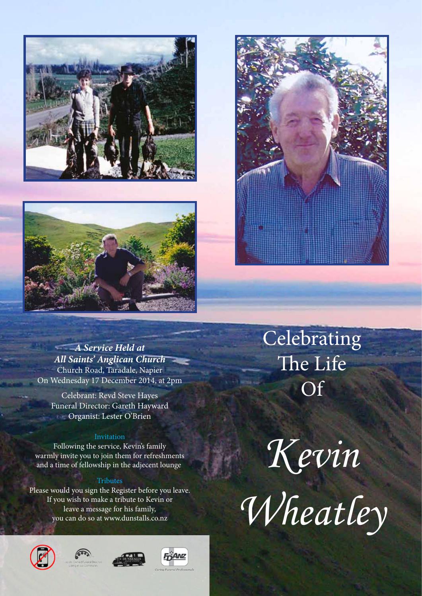





# *A Service Held at All Saints' Anglican Church* Church Road, Taradale, Napier On Wednesday 17 December 2014, at 2pm

Celebrant: Revd Steve Hayes Funeral Director: Gareth Hayward Organist: Lester O'Brien

## Invitation

Following the service, Kevin's family warmly invite you to join them for refreshments and a time of fellowship in the adjecent lounge.

## **Tributes**

Please would you sign the Register before you leave. If you wish to make a tribute to Kevin or leave a message for his family, you can do so at www.dunstalls.co.nz









Celebrating The Life **Of** 

*Kevin*